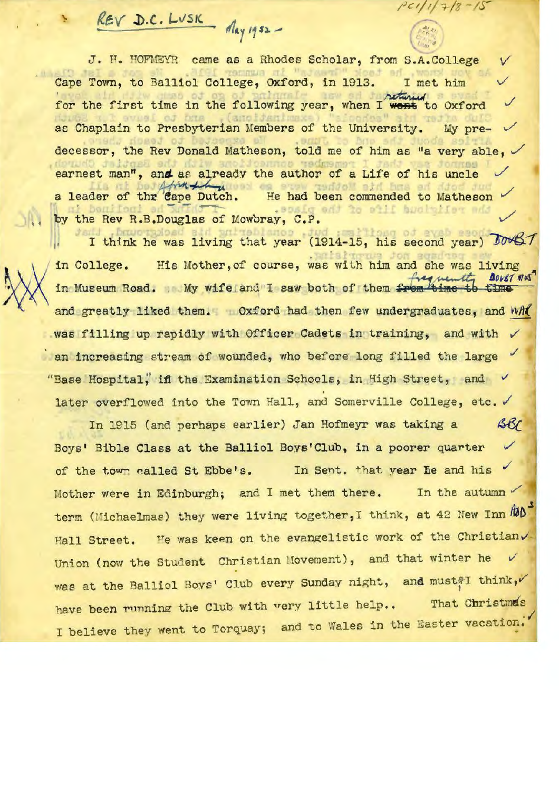*/1.t:,'{* **.I).C. l-v'S IC.**  *,1/"1 '1* **n . ..,.** 

J. H. HOFMEYR came as a Rhodes Scholar, from S.A. College Cape Town, to Balliol College, Oxford, in 1913. I met him for the first time in the following year, when I went to Oxford as Chaplain to Presbyterian Members of the University. My predecessor, the Rev Donald Matheson, told me of him as "a very able,  $\checkmark$ earnest man", and as already the author of a Life of his uncle  $\checkmark$ a leader of thr 'eape Dutch. He had been commended to Matheson<br>by the Rev R.B.Douglas of Mowbray, C.P.

 $P(1/1)$  7/8

e Rev R.B.Douglas of Mowbray, C.P.<br>I think he was living that year (1914-15, his second year) Down in College . in Museum Road. My wife and I saw both of them from time to time His Mother, of course, was with him and she was living  $\frac{f}{\sqrt{1-\frac{1}{n}}}$ **10087 1145** living that year (1914-15, his second year) JOW<br>Mother, of course, was with him and she was living<br>My wife and I saw both of them from time to time and greatly liked them. Oxford had then few undergraduates, and *whit* was filling up rapidly with Officer Cadets in training, and with  $\sqrt{ }$ an increasing stream of wounded, who before long filled the large "Base Hospital, if the Examination Schools, in High Street, and  $\checkmark$ later overflowed into the Town Hall, and Somerville College, etc.  $\checkmark$ 

In 1915 (and perhaps earlier) Jan Hofmeyr was taking a **SB** Boys' Bible Class at the Balliol Boys'Club, in a poorer quarter  $\checkmark$ of the town called St Ebbe's. In Sent. that year he and his Mother were in Edinburgh; and I met them there. In the autumn term (Michaelmas) they were living together, I think, at 42 New Inn  $\hbar b$ Hall Street. He was keen on the evangelistic work of the Christian. Union (now the Student Christian Movement), and that winter he was at the Balliol Boys' Club every Sunday night, and must ?I think, have been running the Club with very little help.. That Christma's I believe they went to Torquay; and to Wales in the Easter vacation.